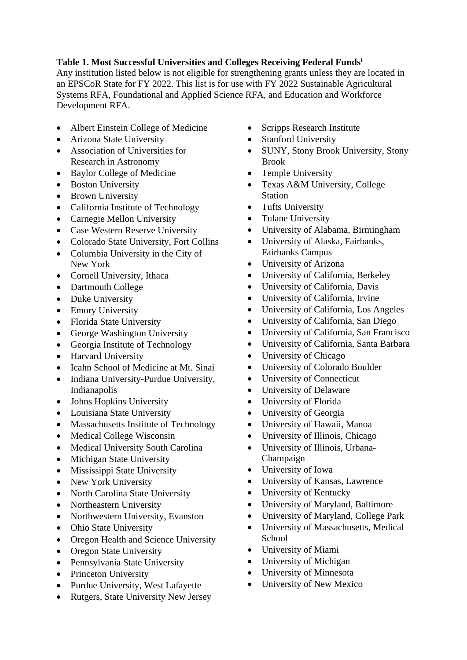## **Table 1. Most Successful Universities and Colleges Receiving Federal Funds<sup>i</sup>**

Any institution listed below is not eligible for strengthening grants unless they are located in an EPSCoR State for FY 2022. This list is for use with FY 2022 Sustainable Agricultural Systems RFA, Foundational and Applied Science RFA, and Education and Workforce Development RFA.

- Albert Einstein College of Medicine
- Arizona State University
- Association of Universities for Research in Astronomy
- Baylor College of Medicine
- Boston University
- Brown University
- California Institute of Technology
- Carnegie Mellon University
- Case Western Reserve University
- Colorado State University, Fort Collins
- Columbia University in the City of New York
- Cornell University, Ithaca
- Dartmouth College
- Duke University
- Emory University
- Florida State University
- George Washington University
- Georgia Institute of Technology
- Harvard University
- Icahn School of Medicine at Mt. Sinai
- Indiana University-Purdue University, Indianapolis
- Johns Hopkins University
- Louisiana State University
- Massachusetts Institute of Technology
- Medical College Wisconsin
- Medical University South Carolina
- Michigan State University
- Mississippi State University
- New York University
- North Carolina State University
- Northeastern University
- Northwestern University, Evanston
- Ohio State University
- Oregon Health and Science University
- Oregon State University
- Pennsylvania State University
- Princeton University
- Purdue University, West Lafayette
- Rutgers, State University New Jersey
- Scripps Research Institute
- Stanford University
- SUNY, Stony Brook University, Stony Brook
- Temple University
- Texas A&M University, College Station
- Tufts University
- Tulane University
- University of Alabama, Birmingham
- University of Alaska, Fairbanks, Fairbanks Campus
- University of Arizona
- University of California, Berkeley
- University of California, Davis
- University of California, Irvine
- University of California, Los Angeles
- University of California, San Diego
- University of California, San Francisco
- University of California, Santa Barbara
- University of Chicago
- University of Colorado Boulder
- University of Connecticut
- University of Delaware
- University of Florida
- University of Georgia
- University of Hawaii, Manoa
- University of Illinois, Chicago
- University of Illinois, Urbana-Champaign
- University of Iowa
- University of Kansas, Lawrence
- University of Kentucky
- University of Maryland, Baltimore
- University of Maryland, College Park
- University of Massachusetts, Medical School
- University of Miami
- University of Michigan
- University of Minnesota
- University of New Mexico